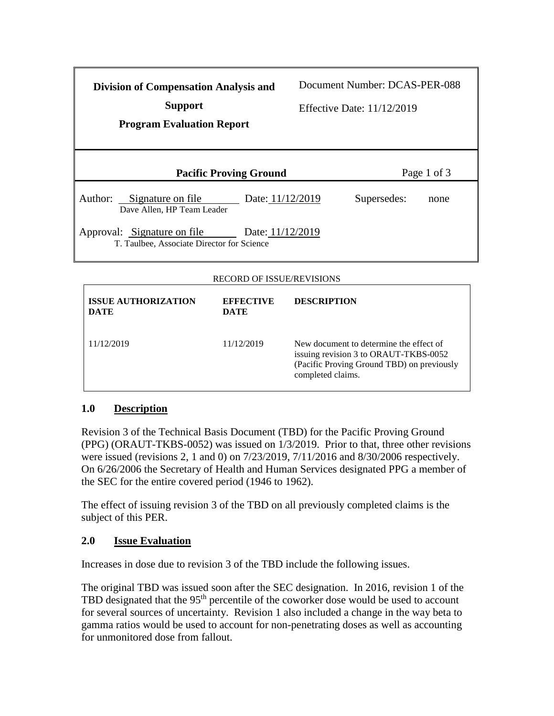| <b>Division of Compensation Analysis and</b><br><b>Support</b><br><b>Program Evaluation Report</b> |                  | Document Number: DCAS-PER-088<br><b>Effective Date: 11/12/2019</b> |      |
|----------------------------------------------------------------------------------------------------|------------------|--------------------------------------------------------------------|------|
| <b>Pacific Proving Ground</b>                                                                      |                  | Page 1 of 3                                                        |      |
| Signature on file<br>Author:<br>Dave Allen, HP Team Leader                                         | Date: 11/12/2019 | Supersedes:                                                        | none |
| Approval: Signature on file<br>T. Taulbee, Associate Director for Science                          | Date: 11/12/2019 |                                                                    |      |

## RECORD OF ISSUE/REVISIONS

| <b>ISSUE AUTHORIZATION</b><br><b>DATE</b> | <b>EFFECTIVE</b><br><b>DATE</b> | <b>DESCRIPTION</b>                                                                                                                                  |
|-------------------------------------------|---------------------------------|-----------------------------------------------------------------------------------------------------------------------------------------------------|
| 11/12/2019                                | 11/12/2019                      | New document to determine the effect of<br>issuing revision 3 to ORAUT-TKBS-0052<br>(Pacific Proving Ground TBD) on previously<br>completed claims. |

## **1.0 Description**

Revision 3 of the Technical Basis Document (TBD) for the Pacific Proving Ground (PPG) (ORAUT-TKBS-0052) was issued on 1/3/2019. Prior to that, three other revisions were issued (revisions 2, 1 and 0) on 7/23/2019, 7/11/2016 and 8/30/2006 respectively. On 6/26/2006 the Secretary of Health and Human Services designated PPG a member of the SEC for the entire covered period (1946 to 1962).

The effect of issuing revision 3 of the TBD on all previously completed claims is the subject of this PER.

## **2.0 Issue Evaluation**

Increases in dose due to revision 3 of the TBD include the following issues.

The original TBD was issued soon after the SEC designation. In 2016, revision 1 of the TBD designated that the 95<sup>th</sup> percentile of the coworker dose would be used to account for several sources of uncertainty. Revision 1 also included a change in the way beta to gamma ratios would be used to account for non-penetrating doses as well as accounting for unmonitored dose from fallout.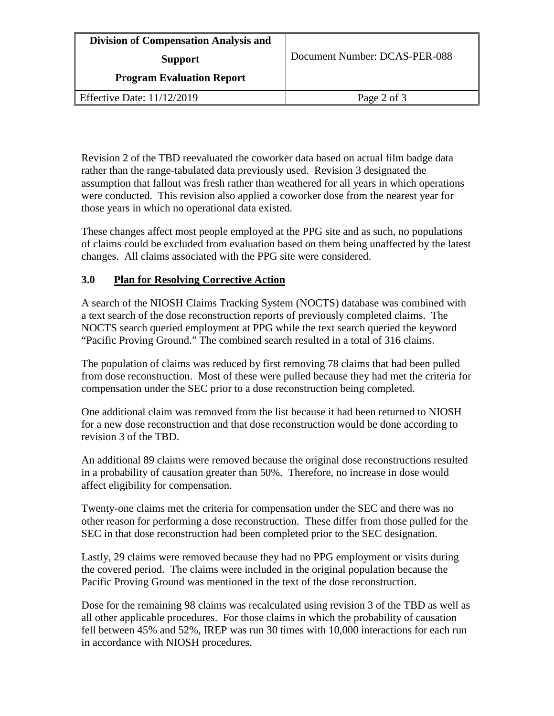| <b>Division of Compensation Analysis and</b> |                               |
|----------------------------------------------|-------------------------------|
| <b>Support</b>                               | Document Number: DCAS-PER-088 |
| <b>Program Evaluation Report</b>             |                               |
| <b>Effective Date: 11/12/2019</b>            | Page 2 of 3                   |

 Revision 2 of the TBD reevaluated the coworker data based on actual film badge data were conducted. This revision also applied a coworker dose from the nearest year for rather than the range-tabulated data previously used. Revision 3 designated the assumption that fallout was fresh rather than weathered for all years in which operations those years in which no operational data existed.

These changes affect most people employed at the PPG site and as such, no populations of claims could be excluded from evaluation based on them being unaffected by the latest changes. All claims associated with the PPG site were considered.

## **3.0 Plan for Resolving Corrective Action**

 a text search of the dose reconstruction reports of previously completed claims. The A search of the NIOSH Claims Tracking System (NOCTS) database was combined with NOCTS search queried employment at PPG while the text search queried the keyword "Pacific Proving Ground." The combined search resulted in a total of 316 claims.

 from dose reconstruction. Most of these were pulled because they had met the criteria for The population of claims was reduced by first removing 78 claims that had been pulled compensation under the SEC prior to a dose reconstruction being completed.

One additional claim was removed from the list because it had been returned to NIOSH for a new dose reconstruction and that dose reconstruction would be done according to revision 3 of the TBD.

An additional 89 claims were removed because the original dose reconstructions resulted in a probability of causation greater than 50%. Therefore, no increase in dose would affect eligibility for compensation.

Twenty-one claims met the criteria for compensation under the SEC and there was no other reason for performing a dose reconstruction. These differ from those pulled for the SEC in that dose reconstruction had been completed prior to the SEC designation.

Lastly, 29 claims were removed because they had no PPG employment or visits during the covered period. The claims were included in the original population because the Pacific Proving Ground was mentioned in the text of the dose reconstruction.

 Dose for the remaining 98 claims was recalculated using revision 3 of the TBD as well as in accordance with NIOSH procedures. all other applicable procedures. For those claims in which the probability of causation fell between 45% and 52%, IREP was run 30 times with 10,000 interactions for each run